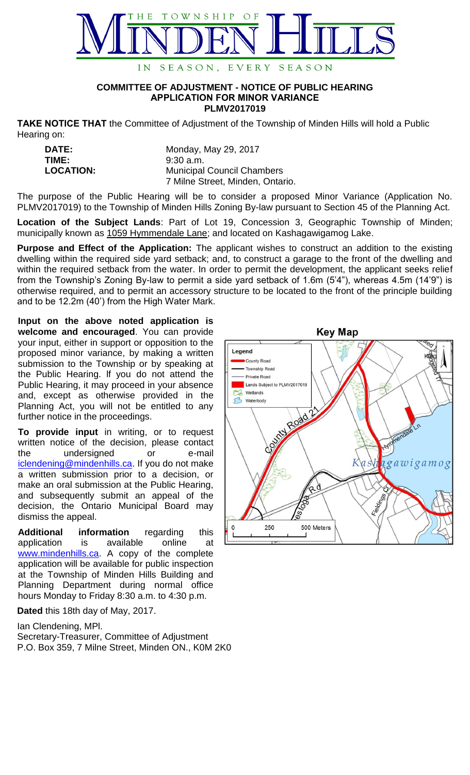

## **COMMITTEE OF ADJUSTMENT - NOTICE OF PUBLIC HEARING APPLICATION FOR MINOR VARIANCE PLMV2017019**

**TAKE NOTICE THAT** the Committee of Adjustment of the Township of Minden Hills will hold a Public Hearing on:

| <b>DATE:</b>     | Monday, May 29, 2017              |
|------------------|-----------------------------------|
| TIME:            | $9:30$ a.m.                       |
| <b>LOCATION:</b> | <b>Municipal Council Chambers</b> |
|                  | 7 Milne Street, Minden, Ontario.  |

The purpose of the Public Hearing will be to consider a proposed Minor Variance (Application No. PLMV2017019) to the Township of Minden Hills Zoning By-law pursuant to Section 45 of the Planning Act.

**Location of the Subject Lands**: Part of Lot 19, Concession 3, Geographic Township of Minden; municipally known as 1059 Hymmendale Lane; and located on Kashagawigamog Lake.

**Purpose and Effect of the Application:** The applicant wishes to construct an addition to the existing dwelling within the required side yard setback; and, to construct a garage to the front of the dwelling and within the required setback from the water. In order to permit the development, the applicant seeks relief from the Township's Zoning By-law to permit a side yard setback of 1.6m (5'4"), whereas 4.5m (14'9") is otherwise required, and to permit an accessory structure to be located to the front of the principle building and to be 12.2m (40') from the High Water Mark.

**Input on the above noted application is welcome and encouraged**. You can provide your input, either in support or opposition to the proposed minor variance, by making a written submission to the Township or by speaking at the Public Hearing. lf you do not attend the Public Hearing, it may proceed in your absence and, except as otherwise provided in the Planning Act, you will not be entitled to any further notice in the proceedings.

**To provide input** in writing, or to request written notice of the decision, please contact the undersigned or e-mail [iclendening@mindenhills.ca.](mailto:iclendening@mindenhills.ca) If you do not make a written submission prior to a decision, or make an oral submission at the Public Hearing, and subsequently submit an appeal of the decision, the Ontario Municipal Board may dismiss the appeal.

**Additional information** regarding this application is available online at [www.mindenhills.ca.](http://www.mindenhills.ca/) A copy of the complete application will be available for public inspection at the Township of Minden Hills Building and Planning Department during normal office hours Monday to Friday 8:30 a.m. to 4:30 p.m.

**Dated** this 18th day of May, 2017.

Ian Clendening, MPl.

Secretary-Treasurer, Committee of Adjustment P.O. Box 359, 7 Milne Street, Minden ON., K0M 2K0

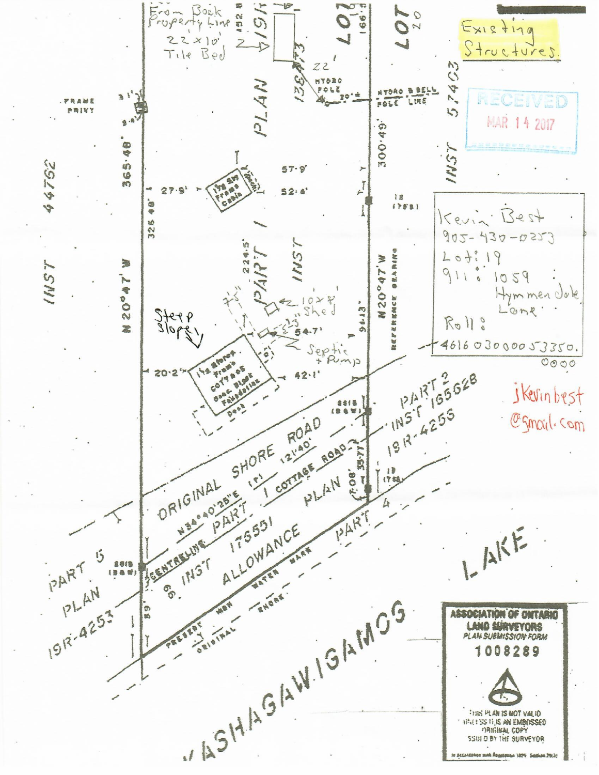